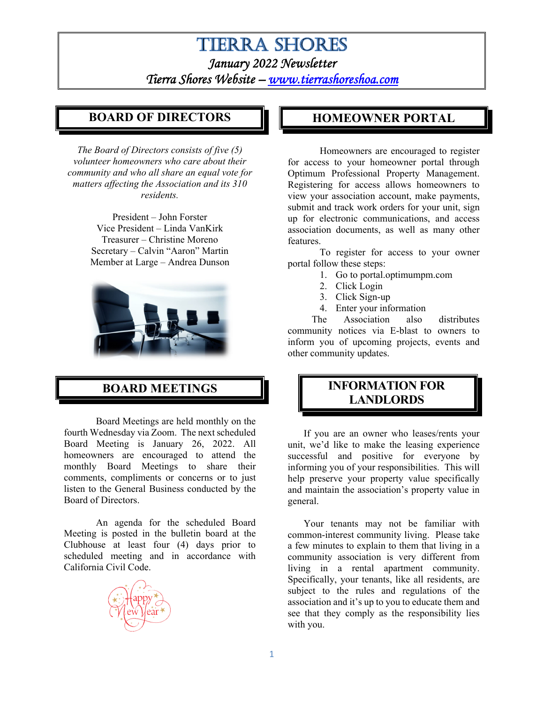# **TIERRA SHORES** *January 2022 Newsletter Tierra Shores Website – www.tierrashoreshoa.com*

### **BOARD OF DIRECTORS**

*The Board of Directors consists of five (5) volunteer homeowners who care about their community and who all share an equal vote for matters affecting the Association and its 310 residents.* 

> President – John Forster Vice President – Linda VanKirk Treasurer – Christine Moreno Secretary – Calvin "Aaron" Martin Member at Large – Andrea Dunson



## **BOARD MEETINGS**

Board Meetings are held monthly on the fourth Wednesday via Zoom. The next scheduled Board Meeting is January 26, 2022. All homeowners are encouraged to attend the monthly Board Meetings to share their comments, compliments or concerns or to just listen to the General Business conducted by the Board of Directors.

An agenda for the scheduled Board Meeting is posted in the bulletin board at the Clubhouse at least four (4) days prior to scheduled meeting and in accordance with California Civil Code.



### **HOMEOWNER PORTAL**

Homeowners are encouraged to register for access to your homeowner portal through Optimum Professional Property Management. Registering for access allows homeowners to view your association account, make payments, submit and track work orders for your unit, sign up for electronic communications, and access association documents, as well as many other features.

To register for access to your owner portal follow these steps:

- 1. Go to portal.optimumpm.com
- 2. Click Login
- 3. Click Sign-up
- 4. Enter your information

The Association also distributes community notices via E-blast to owners to inform you of upcoming projects, events and other community updates.

## **INFORMATION FOR LANDLORDS**

If you are an owner who leases/rents your unit, we'd like to make the leasing experience successful and positive for everyone by informing you of your responsibilities. This will help preserve your property value specifically and maintain the association's property value in general.

Your tenants may not be familiar with common-interest community living. Please take a few minutes to explain to them that living in a community association is very different from living in a rental apartment community. Specifically, your tenants, like all residents, are subject to the rules and regulations of the association and it's up to you to educate them and see that they comply as the responsibility lies with you.